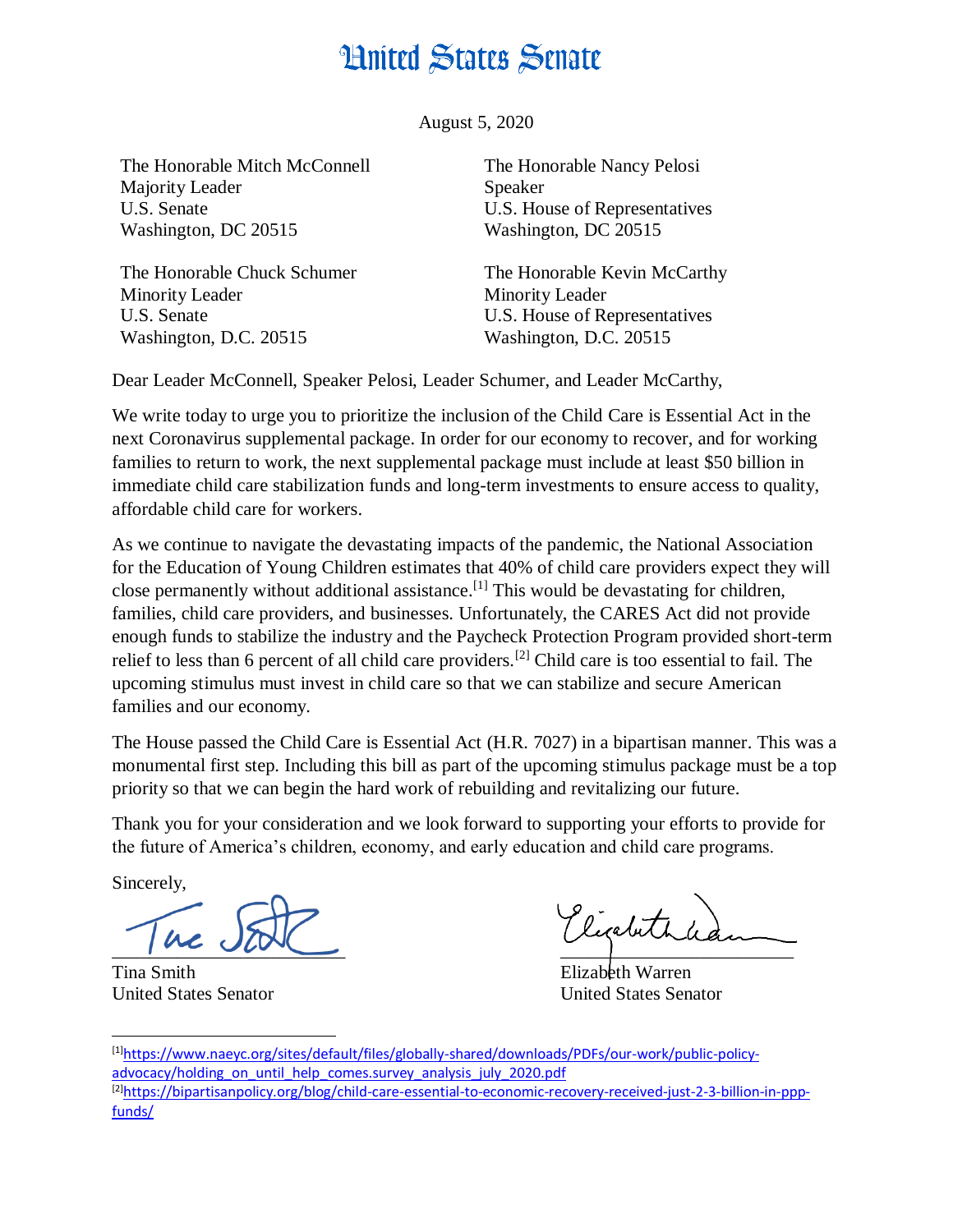## **Hnited States Senate**

August 5, 2020

The Honorable Mitch McConnell Majority Leader U.S. Senate Washington, DC 20515

The Honorable Chuck Schumer Minority Leader U.S. Senate Washington, D.C. 20515

The Honorable Nancy Pelosi Speaker U.S. House of Representatives Washington, DC 20515

The Honorable Kevin McCarthy Minority Leader U.S. House of Representatives Washington, D.C. 20515

Dear Leader McConnell, Speaker Pelosi, Leader Schumer, and Leader McCarthy,

We write today to urge you to prioritize the inclusion of the Child Care is Essential Act in the next Coronavirus supplemental package. In order for our economy to recover, and for working families to return to work, the next supplemental package must include at least \$50 billion in immediate child care stabilization funds and long-term investments to ensure access to quality, affordable child care for workers.

As we continue to navigate the devastating impacts of the pandemic, the National Association for the Education of Young Children estimates that 40% of child care providers expect they will close permanently without additional assistance.<sup>[1]</sup> This would be devastating for children, families, child care providers, and businesses. Unfortunately, the CARES Act did not provide enough funds to stabilize the industry and the Paycheck Protection Program provided short-term relief to less than 6 percent of all child care providers.[2] Child care is too essential to fail. The upcoming stimulus must invest in child care so that we can stabilize and secure American families and our economy.

The House passed the Child Care is Essential Act (H.R. 7027) in a bipartisan manner. This was a monumental first step. Including this bill as part of the upcoming stimulus package must be a top priority so that we can begin the hard work of rebuilding and revitalizing our future.

Thank you for your consideration and we look forward to supporting your efforts to provide for the future of America's children, economy, and early education and child care programs.

Sincerely,

 $\frac{1}{2}$ 

Tina Smith Elizabeth Warren

Kicabeth

United States Senator United States Senator

 $\overline{a}$ [1][https://www.naeyc.org/sites/default/files/globally-shared/downloads/PDFs/our-work/public-policy](https://www.naeyc.org/sites/default/files/globally-shared/downloads/PDFs/our-work/public-policy-advocacy/holding_on_until_help_comes.survey_analysis_july_2020.pdf)[advocacy/holding\\_on\\_until\\_help\\_comes.survey\\_analysis\\_july\\_2020.pdf](https://www.naeyc.org/sites/default/files/globally-shared/downloads/PDFs/our-work/public-policy-advocacy/holding_on_until_help_comes.survey_analysis_july_2020.pdf) [2][https://bipartisanpolicy.org/blog/child-care-essential-to-economic-recovery-received-just-2-3-billion-in-ppp](https://bipartisanpolicy.org/blog/child-care-essential-to-economic-recovery-received-just-2-3-billion-in-ppp-funds/)[funds/](https://bipartisanpolicy.org/blog/child-care-essential-to-economic-recovery-received-just-2-3-billion-in-ppp-funds/)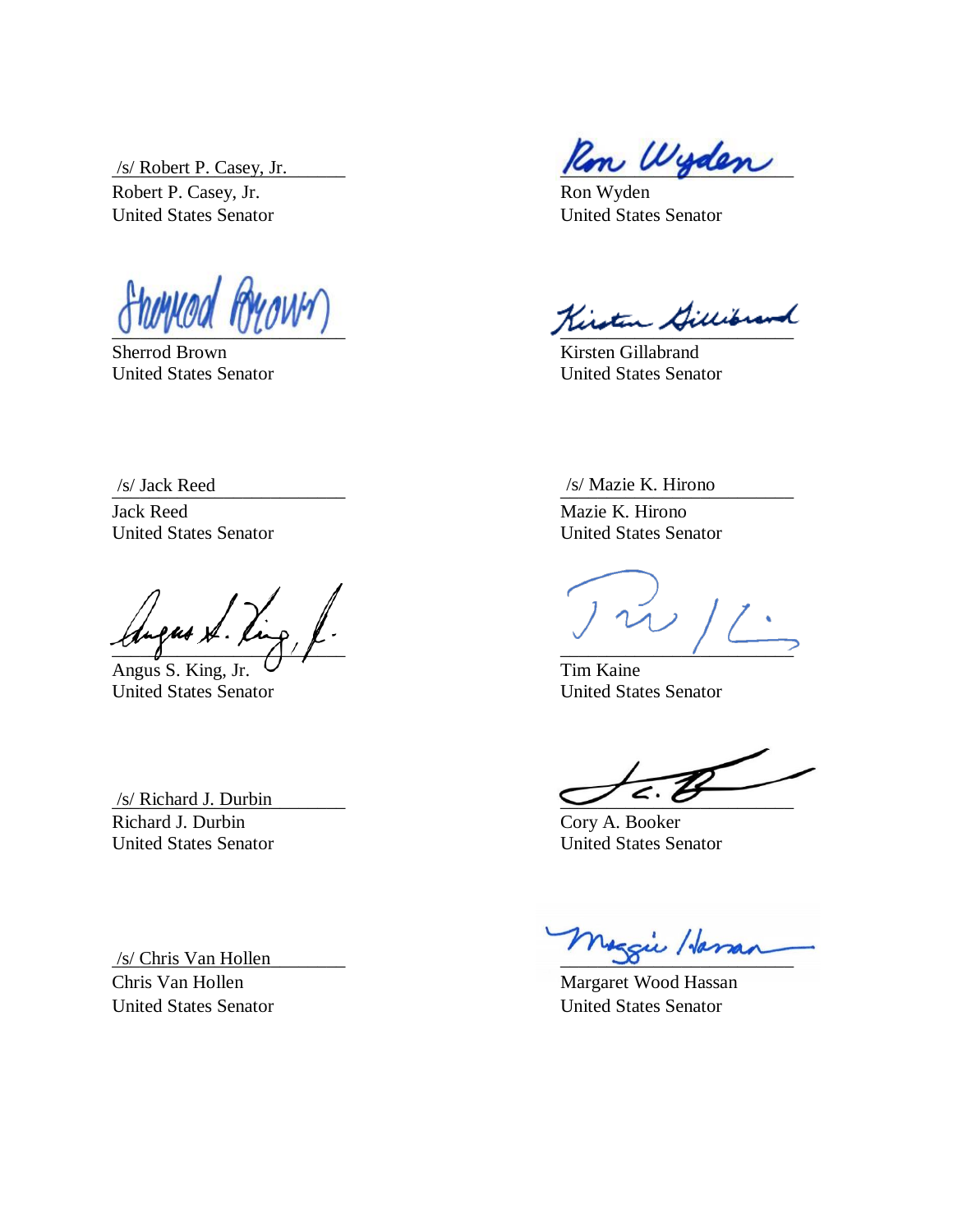Robert P. Casey, Jr. Ron Wyden United States Senator United States Senator

Sherrod Brown Kirsten Gillabrand

Jack Reed Mazie K. Hirono United States Senator United States Senator

 $\mathcal{L}$ \_\_\_\_\_\_\_\_\_\_\_\_\_\_\_\_\_\_\_\_\_\_\_\_\_ \_\_\_\_\_\_\_\_\_\_\_\_\_\_\_\_\_\_\_\_\_\_\_\_\_

Angus S. King, Jr.  $\cup$   $\cdot$  Tim Kaine United States Senator United States Senator

Richard J. Durbin Cory A. Booker United States Senator United States Senator

Chris Van Hollen Margaret Wood Hassan United States Senator United States Senator

 $\frac{1}{s}$  Robert P. Casey, Jr.

 $R_{\ell}$  ( $N_{\ell}$  )  $N_{\ell}$  )  $N_{\ell}$  )  $N_{\ell}$  ,  $N_{\ell}$  ,  $N_{\ell}$  ,  $N_{\ell}$  ,  $N_{\ell}$  ,  $N_{\ell}$  ,  $N_{\ell}$  ,  $N_{\ell}$ 

United States Senator United States Senator

\_\_\_\_\_\_\_\_\_\_\_\_\_\_\_\_\_\_\_\_\_\_\_\_\_ \_\_\_\_\_\_\_\_\_\_\_\_\_\_\_\_\_\_\_\_\_\_\_\_\_ /s/ Jack Reed /s/ Mazie K. Hirono

 $\sqrt{s}$  Richard J. Durbin

/s/ Chris Van Hollen